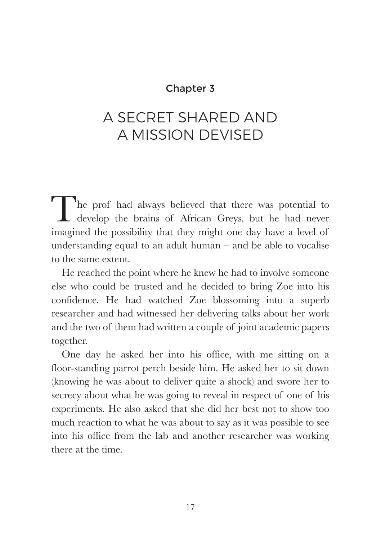## Chapter 3

# A SECRET SHARED AND A MISSION DEVISED

The prof had always believed that there was potential to develop the brains of African Greys, but he had never imagined the possibility that they might one day have a level of understanding equal to an adult human  $-$  and be able to vocalise to the same extent.

He reached the point where he knew he had to involve someone else who could be trusted and he decided to bring Zoe into his confidence. He had watched Zoe blossoming into a superb researcher and had witnessed her delivering talks about her work and the two of them had written a couple of joint academic papers together.

One day he asked her into his office, with me sitting on a floor-standing parrot perch beside him. He asked her to sit down (knowing he was about to deliver quite a shock) and swore her to secrecy about what he was going to reveal in respect of one of his experiments. He also asked that she did her best not to show too much reaction to what he was about to say as it was possible to see into his office from the lab and another researcher was working there at the time.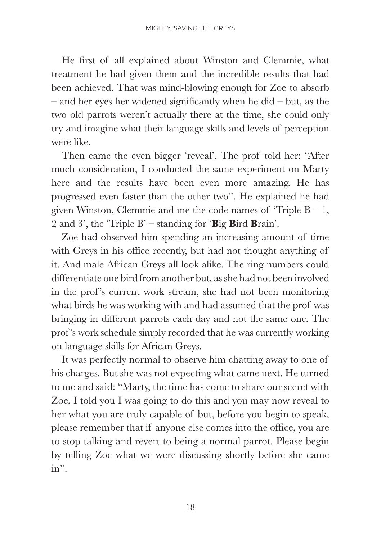He first of all explained about Winston and Clemmie, what treatment he had given them and the incredible results that had been achieved. That was mind-blowing enough for Zoe to absorb  $-$  and her eyes her widened significantly when he did  $-$  but, as the two old parrots weren't actually there at the time, she could only try and imagine what their language skills and levels of perception were like.

Then came the even bigger 'reveal'. The prof told her: "After much consideration, I conducted the same experiment on Marty here and the results have been even more amazing. He has progressed even faster than the other two". He explained he had given Winston, Clemmie and me the code names of 'Triple  $B - 1$ , 2 and 3', the 'Triple B' – standing for '**B**ig **B**ird **B**rain'.

Zoe had observed him spending an increasing amount of time with Greys in his office recently, but had not thought anything of it. And male African Greys all look alike. The ring numbers could differentiate one bird from another but, as she had not been involved in the prof 's current work stream, she had not been monitoring what birds he was working with and had assumed that the prof was bringing in different parrots each day and not the same one. The prof 's work schedule simply recorded that he was currently working on language skills for African Greys.

It was perfectly normal to observe him chatting away to one of his charges. But she was not expecting what came next. He turned to me and said: "Marty, the time has come to share our secret with Zoe. I told you I was going to do this and you may now reveal to her what you are truly capable of but, before you begin to speak, please remember that if anyone else comes into the office, you are to stop talking and revert to being a normal parrot. Please begin by telling Zoe what we were discussing shortly before she came in".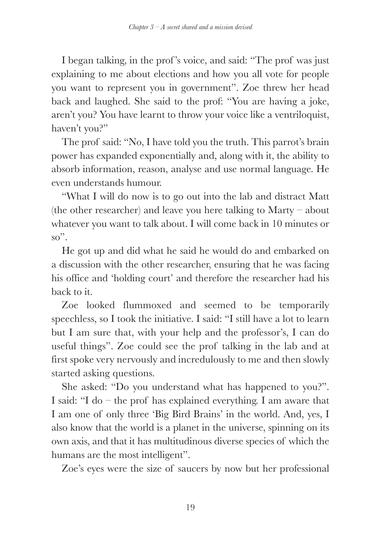I began talking, in the prof 's voice, and said: "The prof was just explaining to me about elections and how you all vote for people you want to represent you in government". Zoe threw her head back and laughed. She said to the prof: "You are having a joke, aren't you? You have learnt to throw your voice like a ventriloquist, haven't you?"

The prof said: "No, I have told you the truth. This parrot's brain power has expanded exponentially and, along with it, the ability to absorb information, reason, analyse and use normal language. He even understands humour.

"What I will do now is to go out into the lab and distract Matt (the other researcher) and leave you here talking to Marty – about whatever you want to talk about. I will come back in 10 minutes or so".

He got up and did what he said he would do and embarked on a discussion with the other researcher, ensuring that he was facing his office and 'holding court' and therefore the researcher had his back to it.

Zoe looked flummoxed and seemed to be temporarily speechless, so I took the initiative. I said: "I still have a lot to learn but I am sure that, with your help and the professor's, I can do useful things". Zoe could see the prof talking in the lab and at first spoke very nervously and incredulously to me and then slowly started asking questions.

She asked: "Do you understand what has happened to you?". I said: "I do – the prof has explained everything. I am aware that I am one of only three 'Big Bird Brains' in the world. And, yes, I also know that the world is a planet in the universe, spinning on its own axis, and that it has multitudinous diverse species of which the humans are the most intelligent".

Zoe's eyes were the size of saucers by now but her professional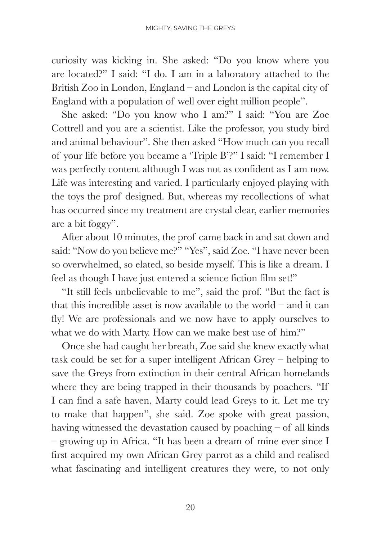curiosity was kicking in. She asked: "Do you know where you are located?" I said: "I do. I am in a laboratory attached to the British Zoo in London, England – and London is the capital city of England with a population of well over eight million people".

She asked: "Do you know who I am?" I said: "You are Zoe Cottrell and you are a scientist. Like the professor, you study bird and animal behaviour". She then asked "How much can you recall of your life before you became a 'Triple B'?" I said: "I remember I was perfectly content although I was not as confident as I am now. Life was interesting and varied. I particularly enjoyed playing with the toys the prof designed. But, whereas my recollections of what has occurred since my treatment are crystal clear, earlier memories are a bit foggy".

After about 10 minutes, the prof came back in and sat down and said: "Now do you believe me?" "Yes", said Zoe. "I have never been so overwhelmed, so elated, so beside myself. This is like a dream. I feel as though I have just entered a science fiction film set!"

"It still feels unbelievable to me", said the prof. "But the fact is that this incredible asset is now available to the world – and it can fly! We are professionals and we now have to apply ourselves to what we do with Marty. How can we make best use of him?"

Once she had caught her breath, Zoe said she knew exactly what task could be set for a super intelligent African Grey – helping to save the Greys from extinction in their central African homelands where they are being trapped in their thousands by poachers. "If I can find a safe haven, Marty could lead Greys to it. Let me try to make that happen", she said. Zoe spoke with great passion, having witnessed the devastation caused by poaching – of all kinds – growing up in Africa. "It has been a dream of mine ever since I first acquired my own African Grey parrot as a child and realised what fascinating and intelligent creatures they were, to not only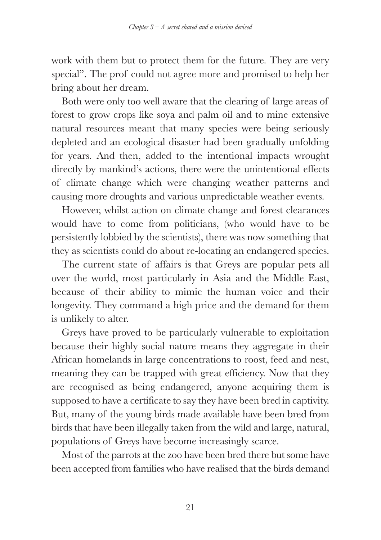work with them but to protect them for the future. They are very special". The prof could not agree more and promised to help her bring about her dream.

Both were only too well aware that the clearing of large areas of forest to grow crops like soya and palm oil and to mine extensive natural resources meant that many species were being seriously depleted and an ecological disaster had been gradually unfolding for years. And then, added to the intentional impacts wrought directly by mankind's actions, there were the unintentional effects of climate change which were changing weather patterns and causing more droughts and various unpredictable weather events.

However, whilst action on climate change and forest clearances would have to come from politicians, (who would have to be persistently lobbied by the scientists), there was now something that they as scientists could do about re-locating an endangered species.

The current state of affairs is that Greys are popular pets all over the world, most particularly in Asia and the Middle East, because of their ability to mimic the human voice and their longevity. They command a high price and the demand for them is unlikely to alter.

Greys have proved to be particularly vulnerable to exploitation because their highly social nature means they aggregate in their African homelands in large concentrations to roost, feed and nest, meaning they can be trapped with great efficiency. Now that they are recognised as being endangered, anyone acquiring them is supposed to have a certificate to say they have been bred in captivity. But, many of the young birds made available have been bred from birds that have been illegally taken from the wild and large, natural, populations of Greys have become increasingly scarce.

Most of the parrots at the zoo have been bred there but some have been accepted from families who have realised that the birds demand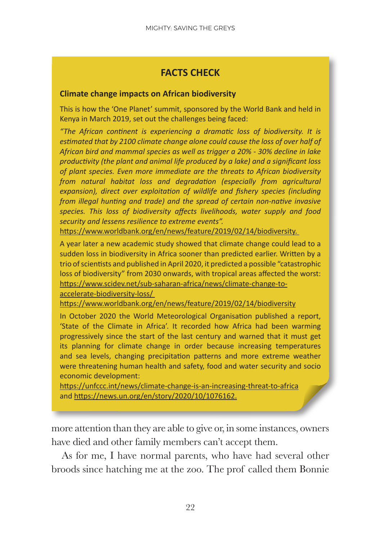## **FACTS CHECK**

#### **Climate change impacts on African biodiversity**

This is how the 'One Planet' summit, sponsored by the World Bank and held in Kenya in March 2019, set out the challenges being faced:

*"The African continent is experiencing a dramatic loss of biodiversity. It is estimated that by 2100 climate change alone could cause the loss of over half of African bird and mammal species as well as trigger a 20% - 30% decline in lake productivity (the plant and animal life produced by a lake) and a significant loss of plant species. Even more immediate are the threats to African biodiversity from natural habitat loss and degradation (especially from agricultural expansion), direct over exploitation of wildlife and fishery species (including from illegal hunting and trade) and the spread of certain non-native invasive species. This loss of biodiversity affects livelihoods, water supply and food security and lessens resilience to extreme events".*

https://www.worldbank.org/en/news/feature/2019/02/14/biodiversity.

A year later a new academic study showed that climate change could lead to a sudden loss in biodiversity in Africa sooner than predicted earlier. Written by a trio of scientists and published in April 2020, it predicted a possible "catastrophic loss of biodiversity" from 2030 onwards, with tropical areas affected the worst: https://www.scidev.net/sub-saharan-africa/news/climate-change-to-

accelerate-biodiversity-loss/

https://www.worldbank.org/en/news/feature/2019/02/14/biodiversity

In October 2020 the World Meteorological Organisation published a report, 'State of the Climate in Africa'. It recorded how Africa had been warming progressively since the start of the last century and warned that it must get its planning for climate change in order because increasing temperatures and sea levels, changing precipitation patterns and more extreme weather were threatening human health and safety, food and water security and socio economic development:

https://unfccc.int/news/climate-change-is-an-increasing-threat-to-africa and https://news.un.org/en/story/2020/10/1076162.

more attention than they are able to give or, in some instances, owners have died and other family members can't accept them.

As for me, I have normal parents, who have had several other broods since hatching me at the zoo. The prof called them Bonnie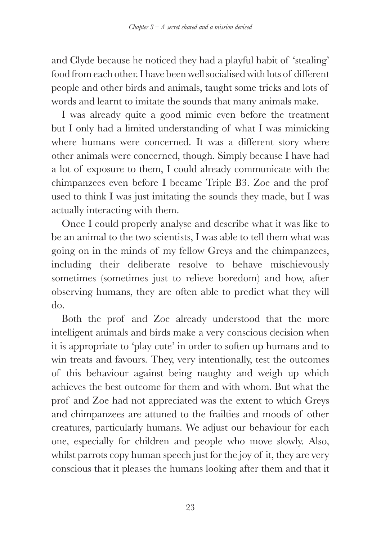and Clyde because he noticed they had a playful habit of 'stealing' food from each other. I have been well socialised with lots of different people and other birds and animals, taught some tricks and lots of words and learnt to imitate the sounds that many animals make.

I was already quite a good mimic even before the treatment but I only had a limited understanding of what I was mimicking where humans were concerned. It was a different story where other animals were concerned, though. Simply because I have had a lot of exposure to them, I could already communicate with the chimpanzees even before I became Triple B3. Zoe and the prof used to think I was just imitating the sounds they made, but I was actually interacting with them.

Once I could properly analyse and describe what it was like to be an animal to the two scientists, I was able to tell them what was going on in the minds of my fellow Greys and the chimpanzees, including their deliberate resolve to behave mischievously sometimes (sometimes just to relieve boredom) and how, after observing humans, they are often able to predict what they will do.

Both the prof and Zoe already understood that the more intelligent animals and birds make a very conscious decision when it is appropriate to 'play cute' in order to soften up humans and to win treats and favours. They, very intentionally, test the outcomes of this behaviour against being naughty and weigh up which achieves the best outcome for them and with whom. But what the prof and Zoe had not appreciated was the extent to which Greys and chimpanzees are attuned to the frailties and moods of other creatures, particularly humans. We adjust our behaviour for each one, especially for children and people who move slowly. Also, whilst parrots copy human speech just for the joy of it, they are very conscious that it pleases the humans looking after them and that it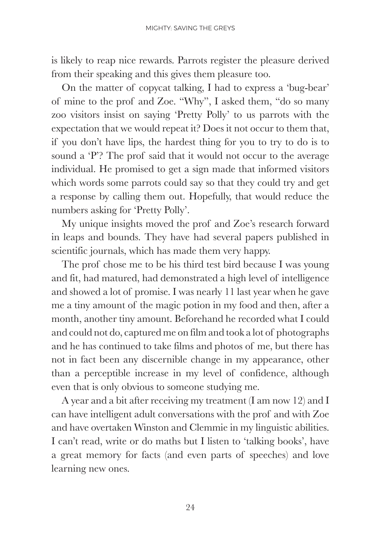is likely to reap nice rewards. Parrots register the pleasure derived from their speaking and this gives them pleasure too.

On the matter of copycat talking, I had to express a 'bug-bear' of mine to the prof and Zoe. "Why", I asked them, "do so many zoo visitors insist on saying 'Pretty Polly' to us parrots with the expectation that we would repeat it? Does it not occur to them that, if you don't have lips, the hardest thing for you to try to do is to sound a 'P'? The prof said that it would not occur to the average individual. He promised to get a sign made that informed visitors which words some parrots could say so that they could try and get a response by calling them out. Hopefully, that would reduce the numbers asking for 'Pretty Polly'.

My unique insights moved the prof and Zoe's research forward in leaps and bounds. They have had several papers published in scientific journals, which has made them very happy.

The prof chose me to be his third test bird because I was young and fit, had matured, had demonstrated a high level of intelligence and showed a lot of promise. I was nearly 11 last year when he gave me a tiny amount of the magic potion in my food and then, after a month, another tiny amount. Beforehand he recorded what I could and could not do, captured me on film and took a lot of photographs and he has continued to take films and photos of me, but there has not in fact been any discernible change in my appearance, other than a perceptible increase in my level of confidence, although even that is only obvious to someone studying me.

A year and a bit after receiving my treatment (I am now 12) and I can have intelligent adult conversations with the prof and with Zoe and have overtaken Winston and Clemmie in my linguistic abilities. I can't read, write or do maths but I listen to 'talking books', have a great memory for facts (and even parts of speeches) and love learning new ones.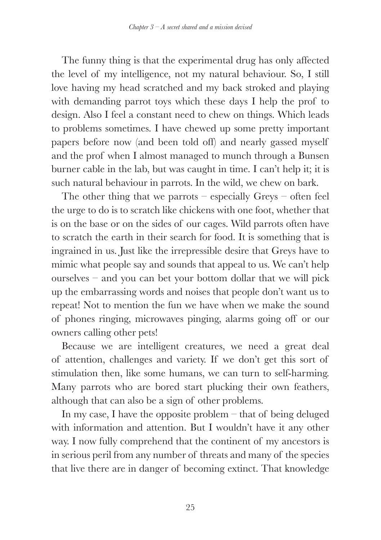The funny thing is that the experimental drug has only affected the level of my intelligence, not my natural behaviour. So, I still love having my head scratched and my back stroked and playing with demanding parrot toys which these days I help the prof to design. Also I feel a constant need to chew on things. Which leads to problems sometimes. I have chewed up some pretty important papers before now (and been told off) and nearly gassed myself and the prof when I almost managed to munch through a Bunsen burner cable in the lab, but was caught in time. I can't help it; it is such natural behaviour in parrots. In the wild, we chew on bark.

The other thing that we parrots – especially Greys – often feel the urge to do is to scratch like chickens with one foot, whether that is on the base or on the sides of our cages. Wild parrots often have to scratch the earth in their search for food. It is something that is ingrained in us. Just like the irrepressible desire that Greys have to mimic what people say and sounds that appeal to us. We can't help ourselves – and you can bet your bottom dollar that we will pick up the embarrassing words and noises that people don't want us to repeat! Not to mention the fun we have when we make the sound of phones ringing, microwaves pinging, alarms going off or our owners calling other pets!

Because we are intelligent creatures, we need a great deal of attention, challenges and variety. If we don't get this sort of stimulation then, like some humans, we can turn to self-harming. Many parrots who are bored start plucking their own feathers, although that can also be a sign of other problems.

In my case, I have the opposite problem – that of being deluged with information and attention. But I wouldn't have it any other way. I now fully comprehend that the continent of my ancestors is in serious peril from any number of threats and many of the species that live there are in danger of becoming extinct. That knowledge